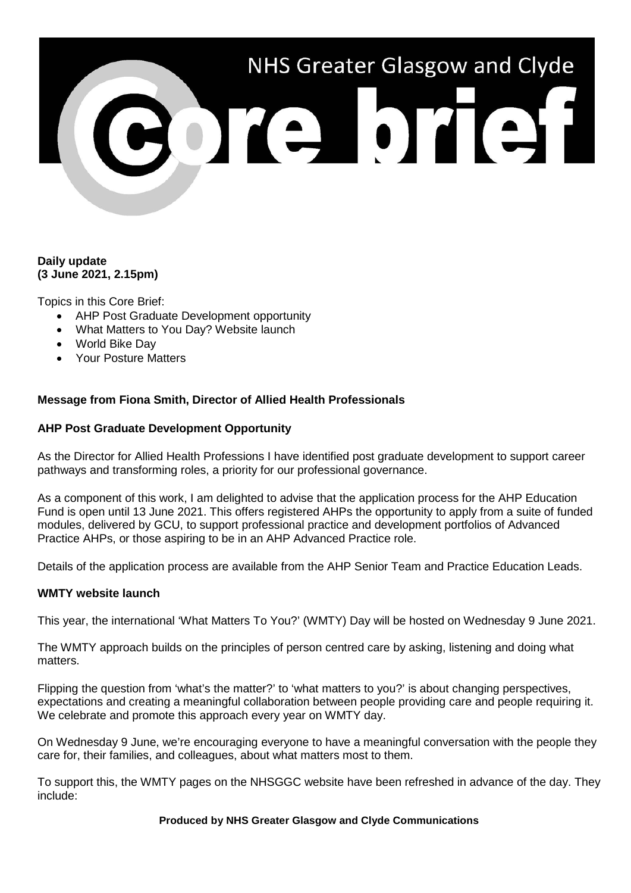# NHS Greater Glasgow and Clyde

# **Daily update (3 June 2021, 2.15pm)**

Topics in this Core Brief:

- AHP Post Graduate Development opportunity
- What Matters to You Day? Website launch
- World Bike Day
- Your Posture Matters

# **Message from Fiona Smith, Director of Allied Health Professionals**

## **AHP Post Graduate Development Opportunity**

As the Director for Allied Health Professions I have identified post graduate development to support career pathways and transforming roles, a priority for our professional governance.

As a component of this work, I am delighted to advise that the application process for the AHP Education Fund is open until 13 June 2021. This offers registered AHPs the opportunity to apply from a suite of funded modules, delivered by GCU, to support professional practice and development portfolios of Advanced Practice AHPs, or those aspiring to be in an AHP Advanced Practice role.

Details of the application process are available from the AHP Senior Team and Practice Education Leads.

## **WMTY website launch**

This year, the international 'What Matters To You?' (WMTY) Day will be hosted on Wednesday 9 June 2021.

The WMTY approach builds on the principles of person centred care by asking, listening and doing what matters.

Flipping the question from 'what's the matter?' to 'what matters to you?' is about changing perspectives, expectations and creating a meaningful collaboration between people providing care and people requiring it. We celebrate and promote this approach every year on WMTY day.

On Wednesday 9 June, we're encouraging everyone to have a meaningful conversation with the people they care for, their families, and colleagues, about what matters most to them.

To support this, the WMTY pages on the NHSGGC website have been refreshed in advance of the day. They include:

**Produced by NHS Greater Glasgow and Clyde Communications**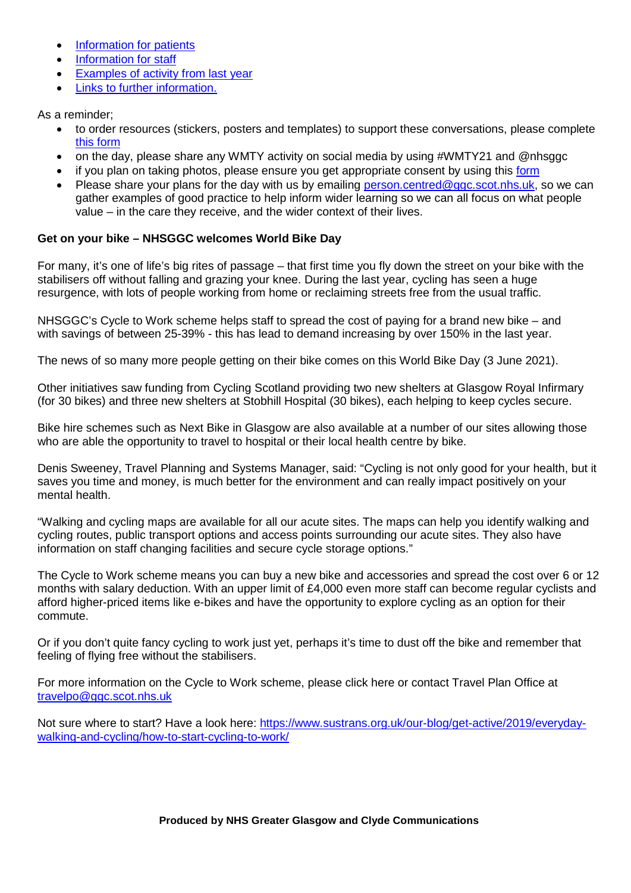- [Information for patients](https://www.nhsggc.org.uk/patients-and-visitors/information-for-patients/what-matters-to-you/)
- [Information for staff](https://www.nhsggc.org.uk/patients-and-visitors/information-for-patients/what-matters-to-you/wmty-information-for-staff/)
- [Examples of activity from last year](https://www.nhsggc.org.uk/patients-and-visitors/information-for-patients/what-matters-to-you/what-matters-to-you-day-2020/)
- [Links to further information.](https://www.nhsggc.org.uk/patients-and-visitors/information-for-patients/what-matters-to-you/wmty-further-resources/)

As a reminder;

- to order resources (stickers, posters and templates) to support these conversations, please complete [this form](https://forms.office.com/Pages/ResponsePage.aspx?id=veDvEDCgykuAnLXmdF5JmmENTIEVjYJLvSv3cugDYZ1URFkyUVYzSlI4SDFGNFFUUkhKQ1VIQkxaVSQlQCN0PWcu)
- on the day, please share any WMTY activity on social media by using #WMTY21 and @nhsggc
- if you plan on taking photos, please ensure you get appropriate consent by using this [form](https://nhsscotlandphotolibrary.org/wp-content/uploads/sites/8/2019/05/NHS-Image-Consent-Form-2019.pdf)
- Please share your plans for the day with us by emailing [person.centred@ggc.scot.nhs.uk,](mailto:person.centred@ggc.scot.nhs.uk) so we can gather examples of good practice to help inform wider learning so we can all focus on what people value – in the care they receive, and the wider context of their lives.

## **Get on your bike – NHSGGC welcomes World Bike Day**

For many, it's one of life's big rites of passage – that first time you fly down the street on your bike with the stabilisers off without falling and grazing your knee. During the last year, cycling has seen a huge resurgence, with lots of people working from home or reclaiming streets free from the usual traffic.

NHSGGC's Cycle to Work scheme helps staff to spread the cost of paying for a brand new bike – and with savings of between 25-39% - this has lead to demand increasing by over 150% in the last year.

The news of so many more people getting on their bike comes on this World Bike Day (3 June 2021).

Other initiatives saw funding from Cycling Scotland providing two new shelters at Glasgow Royal Infirmary (for 30 bikes) and three new shelters at Stobhill Hospital (30 bikes), each helping to keep cycles secure.

Bike hire schemes such as Next Bike in Glasgow are also available at a number of our sites allowing those who are able the opportunity to travel to hospital or their local health centre by bike.

Denis Sweeney, Travel Planning and Systems Manager, said: "Cycling is not only good for your health, but it saves you time and money, is much better for the environment and can really impact positively on your mental health.

"Walking and cycling maps are available for all our acute sites. The maps can help you identify walking and cycling routes, public transport options and access points surrounding our acute sites. They also have information on staff changing facilities and secure cycle storage options."

The Cycle to Work scheme means you can buy a new bike and accessories and spread the cost over 6 or 12 months with salary deduction. With an upper limit of £4,000 even more staff can become regular cyclists and afford higher-priced items like e-bikes and have the opportunity to explore cycling as an option for their commute.

Or if you don't quite fancy cycling to work just yet, perhaps it's time to dust off the bike and remember that feeling of flying free without the stabilisers.

For more information on the Cycle to Work scheme, please click here or contact Travel Plan Office at [travelpo@ggc.scot.nhs.uk](mailto:travelpo@ggc.scot.nhs.uk)

Not sure where to start? Have a look here: [https://www.sustrans.org.uk/our-blog/get-active/2019/everyday](https://www.sustrans.org.uk/our-blog/get-active/2019/everyday-walking-and-cycling/how-to-start-cycling-to-work/)[walking-and-cycling/how-to-start-cycling-to-work/](https://www.sustrans.org.uk/our-blog/get-active/2019/everyday-walking-and-cycling/how-to-start-cycling-to-work/)